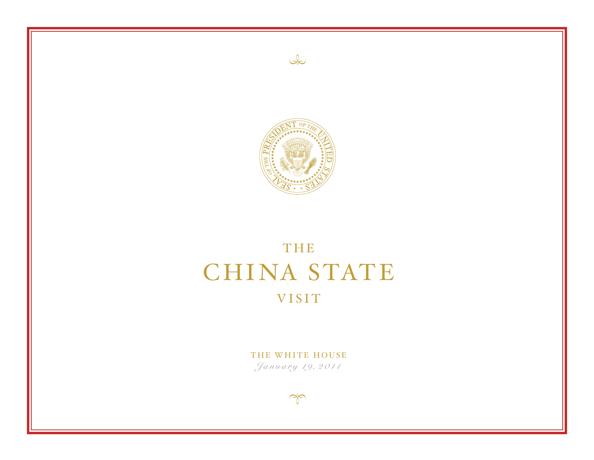



# THE CHINA STATE VISIT

THE WHITE HOUSE January 19, 2011

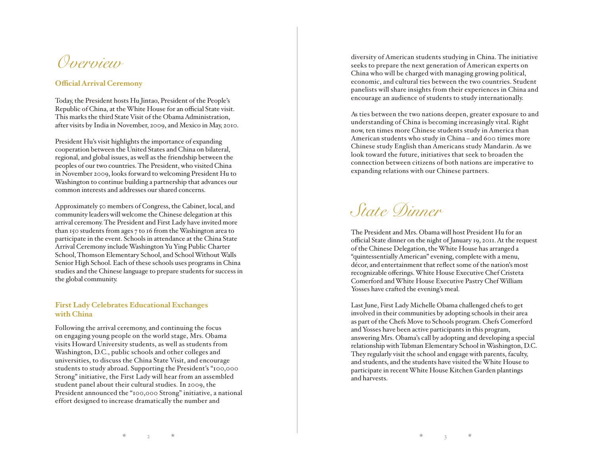### *Overview*

#### **Official Arrival Ceremony**

Today, the President hosts Hu Jintao, President of the People's Republic of China, at the White House for an official State visit. This marks the third State Visit of the Obama Administration, after visits by India in November, 2009, and Mexico in May, 2010.

President Hu's visit highlights the importance of expanding cooperation between the United States and China on bilateral, regional, and global issues, as well as the friendship between the peoples of our two countries. The President, who visited China in November 2009, looks forward to welcoming President Hu to Washington to continue building a partnership that advances our common interests and addresses our shared concerns.

Approximately 50 members of Congress, the Cabinet, local, and community leaders will welcome the Chinese delegation at this arrival ceremony. The President and First Lady have invited more than 150 students from ages 7 to 16 from the Washington area to participate in the event. Schools in attendance at the China State Arrival Ceremony include Washington Yu Ying Public Charter School, Thomson Elementary School, and School Without Walls Senior High School. Each of these schools uses programs in China studies and the Chinese language to prepare students for success in the global community.

#### **First Lady Celebrates Educational Exchanges with China**

Following the arrival ceremony, and continuing the focus on engaging young people on the world stage, Mrs. Obama visits Howard University students, as well as students from Washington, D.C., public schools and other colleges and universities, to discuss the China State Visit, and encourage students to study abroad. Supporting the President's "100,000 Strong" initiative, the First Lady will hear from an assembled student panel about their cultural studies. In 2009, the President announced the "100,000 Strong" initiative, a national effort designed to increase dramatically the number and

diversity of American students studying in China. The initiative seeks to prepare the next generation of American experts on China who will be charged with managing growing political, economic, and cultural ties between the two countries. Student panelists will share insights from their experiences in China and encourage an audience of students to study internationally.

As ties between the two nations deepen, greater exposure to and understanding of China is becoming increasingly vital. Right now, ten times more Chinese students study in America than American students who study in China – and 600 times more Chinese study English than Americans study Mandarin. As we look toward the future, initiatives that seek to broaden the connection between citizens of both nations are imperative to expanding relations with our Chinese partners.

*State Dinner*

The President and Mrs. Obama will host President Hu for an official State dinner on the night of January 19, 2011. At the request of the Chinese Delegation, the White House has arranged a "quintessentially American" evening, complete with a menu, décor, and entertainment that reflect some of the nation's most recognizable offerings. White House Executive Chef Cristeta Comerford and White House Executive Pastry Chef William Yosses have crafted the evening's meal.

Last June, First Lady Michelle Obama challenged chefs to get involved in their communities by adopting schools in their area as part of the Chefs Move to Schools program. Chefs Comerford and Yosses have been active participants in this program, answering Mrs. Obama's call by adopting and developing a special relationship with Tubman Elementary School in Washington, D.C. They regularly visit the school and engage with parents, faculty, and students, and the students have visited the White House to participate in recent White House Kitchen Garden plantings and harvests.

 $\pm$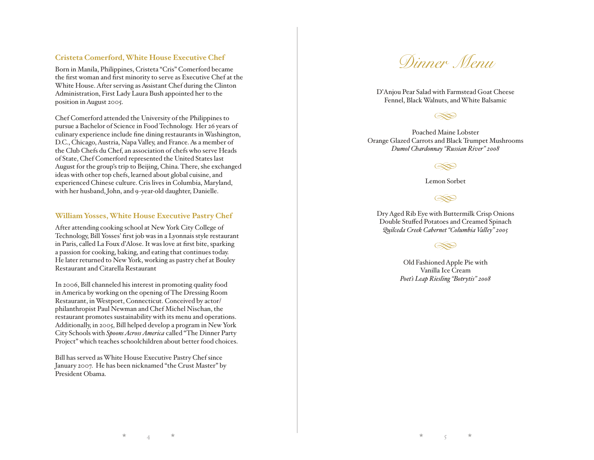#### **Cristeta Comerford, White House Executive Chef**

Born in Manila, Philippines, Cristeta "Cris" Comerford became the first woman and first minority to serve as Executive Chef at the White House. After serving as Assistant Chef during the Clinton Administration, First Lady Laura Bush appointed her to the position in August 2005.

Chef Comerford attended the University of the Philippines to pursue a Bachelor of Science in Food Technology. Her 26 years of culinary experience include fine dining restaurants in Washington, D.C., Chicago, Austria, Napa Valley, and France. As a member of the Club Chefs du Chef, an association of chefs who serve Heads of State, Chef Comerford represented the United States last August for the group's trip to Beijing, China. There, she exchanged ideas with other top chefs, learned about global cuisine, and experienced Chinese culture. Cris lives in Columbia, Maryland, with her husband, John, and 9-year-old daughter, Danielle.

#### **William Yosses, White House Executive Pastry Chef**

After attending cooking school at New York City College of Technology, Bill Yosses' first job was in a Lyonnais style restaurant in Paris, called La Foux d'Alose. It was love at first bite, sparking a passion for cooking, baking, and eating that continues today. He later returned to New York, working as pastry chef at Bouley Restaurant and Citarella Restaurant

In 2006, Bill channeled his interest in promoting quality food in America by working on the opening of The Dressing Room Restaurant, in Westport, Connecticut. Conceived by actor/ philanthropist Paul Newman and Chef Michel Nischan, the restaurant promotes sustainability with its menu and operations. Additionally, in 2005, Bill helped develop a program in New York City Schools with *Spoons Across America* called "The Dinner Party Project" which teaches schoolchildren about better food choices.

Bill has served as White House Executive Pastry Chef since January 2007. He has been nicknamed "the Crust Master" by President Obama.



D'Anjou Pear Salad with Farmstead Goat Cheese Fennel, Black Walnuts, and White Balsamic

Poached Maine Lobster Orange Glazed Carrots and Black Trumpet Mushrooms *Dumol Chardonnay "Russian River" 2008* 

Lemon Sorbet

Dry Aged Rib Eye with Buttermilk Crisp Onions Double Stuffed Potatoes and Creamed Spinach *Quilceda Creek Cabernet "Columbia Valley" 2005*

Old Fashioned Apple Pie with Vanilla Ice Cream *Poet's Leap Riesling "Botrytis" 2008*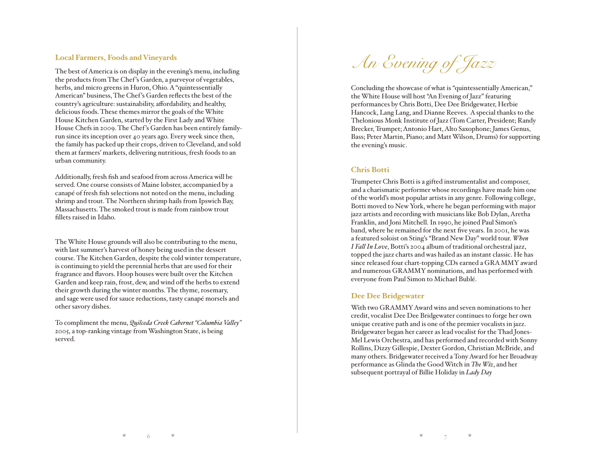#### **Local Farmers, Foods and Vineyards**

The best of America is on display in the evening's menu, including the products from The Chef 's Garden, a purveyor of vegetables, herbs, and micro greens in Huron, Ohio. A "quintessentially American" business, The Chef 's Garden reflects the best of the country's agriculture: sustainability, affordability, and healthy, delicious foods. These themes mirror the goals of the White House Kitchen Garden, started by the First Lady and White House Chefs in 2009. The Chef 's Garden has been entirely familyrun since its inception over 40 years ago. Every week since then, the family has packed up their crops, driven to Cleveland, and sold them at farmers' markets, delivering nutritious, fresh foods to an urban community.

Additionally, fresh fish and seafood from across America will be served. One course consists of Maine lobster, accompanied by a canapé of fresh fish selections not noted on the menu, including shrimp and trout. The Northern shrimp hails from Ipswich Bay, Massachusetts. The smoked trout is made from rainbow trout fillets raised in Idaho.

The White House grounds will also be contributing to the menu, with last summer's harvest of honey being used in the dessert course. The Kitchen Garden, despite the cold winter temperature, is continuing to yield the perennial herbs that are used for their fragrance and flavors. Hoop houses were built over the Kitchen Garden and keep rain, frost, dew, and wind off the herbs to extend their growth during the winter months. The thyme, rosemary, and sage were used for sauce reductions, tasty canapé morsels and other savory dishes.

To compliment the menu, *Quilceda Creek Cabernet "Columbia Valley"* 2005, a top-ranking vintage from Washington State, is being served.



Concluding the showcase of what is "quintessentially American," the White House will host "An Evening of Jazz" featuring performances by Chris Botti, Dee Dee Bridgewater, Herbie Hancock, Lang Lang, and Dianne Reeves. A special thanks to the Thelonious Monk Institute of Jazz (Tom Carter, President; Randy Brecker, Trumpet; Antonio Hart, Alto Saxophone; James Genus, Bass; Peter Martin, Piano; and Matt Wilson, Drums) for supporting the evening's music.

#### **Chris Botti**

Trumpeter Chris Botti is a gifted instrumentalist and composer, and a charismatic performer whose recordings have made him one of the world's most popular artists in any genre. Following college, Botti moved to New York, where he began performing with major jazz artists and recording with musicians like Bob Dylan, Aretha Franklin, and Joni Mitchell. In 1990, he joined Paul Simon's band, where he remained for the next five years. In 2001, he was a featured soloist on Sting's "Brand New Day" world tour. *When I Fall In Love*, Botti's 2004 album of traditional orchestral jazz, topped the jazz charts and was hailed as an instant classic. He has since released four chart-topping CDs earned a GRA MMY award and numerous GRAMMY nominations, and has performed with everyone from Paul Simon to Michael Bublé.

#### **Dee Dee Bridgewater**

With two GRAMMY Award wins and seven nominations to her credit, vocalist Dee Dee Bridgewater continues to forge her own unique creative path and is one of the premier vocalists in jazz. Bridgewater began her career as lead vocalist for the Thad Jones-Mel Lewis Orchestra, and has performed and recorded with Sonny Rollins, Dizzy Gillespie, Dexter Gordon, Christian McBride, and many others. Bridgewater received a Tony Award for her Broadway performance as Glinda the Good Witch in *The Wiz*, and her subsequent portrayal of Billie Holiday in *Lady Day*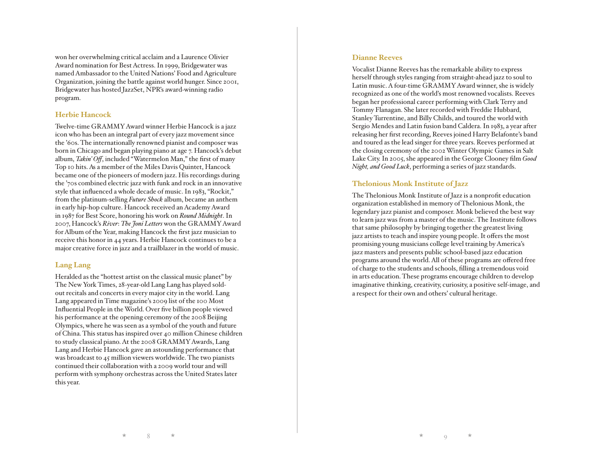won her overwhelming critical acclaim and a Laurence Olivier Award nomination for Best Actress. In 1999, Bridgewater was named Ambassador to the United Nations' Food and Agriculture Organization, joining the battle against world hunger. Since 2001, Bridgewater has hosted JazzSet, NPR's award-winning radio program.

#### **Herbie Hancock**

Twelve-time GRAMMY Award winner Herbie Hancock is a jazz icon who has been an integral part of every jazz movement since the '60s. The internationally renowned pianist and composer was born in Chicago and began playing piano at age 7. Hancock's debut album, *Takin' Off*, included "Watermelon Man," the first of many Top 10 hits. As a member of the Miles Davis Quintet, Hancock became one of the pioneers of modern jazz. His recordings during the '70s combined electric jazz with funk and rock in an innovative style that influenced a whole decade of music. In 1983, "Rockit," from the platinum-selling *Future Shock* album, became an anthem in early hip-hop culture. Hancock received an Academy Award in 1987 for Best Score, honoring his work on *Round Midnight*. In 2007, Hancock's *River*: *The Joni Letters* won the GRAMMY Award for Album of the Year, making Hancock the first jazz musician to receive this honor in 44 years. Herbie Hancock continues to be a major creative force in jazz and a trailblazer in the world of music.

#### **Lang Lang**

Heralded as the "hottest artist on the classical music planet" by The New York Times, 28-year-old Lang Lang has played soldout recitals and concerts in every major city in the world. Lang Lang appeared in Time magazine's 2009 list of the 100 Most Influential People in the World. Over five billion people viewed his performance at the opening ceremony of the 2008 Beijing Olympics, where he was seen as a symbol of the youth and future of China. This status has inspired over 40 million Chinese children to study classical piano. At the 2008 GRAMMY Awards, Lang Lang and Herbie Hancock gave an astounding performance that was broadcast to 45 million viewers worldwide. The two pianists continued their collaboration with a 2009 world tour and will perform with symphony orchestras across the United States later this year.

#### **Dianne Reeves**

Vocalist Dianne Reeves has the remarkable ability to express herself through styles ranging from straight-ahead jazz to soul to Latin music. A four-time GRAMMY Award winner, she is widely recognized as one of the world's most renowned vocalists. Reeves began her professional career performing with Clark Terry and Tommy Flanagan. She later recorded with Freddie Hubbard, Stanley Turrentine, and Billy Childs, and toured the world with Sergio Mendes and Latin fusion band Caldera. In 1983, a year after releasing her first recording, Reeves joined Harry Belafonte's band and toured as the lead singer for three years. Reeves performed at the closing ceremony of the 2002 Winter Olympic Games in Salt Lake City. In 2005, she appeared in the George Clooney film *Good Night, and Good Luck*, performing a series of jazz standards.

#### **Thelonious Monk Institute of Jazz**

The Thelonious Monk Institute of Jazz is a nonprofit education organization established in memory of Thelonious Monk, the legendary jazz pianist and composer. Monk believed the best way to learn jazz was from a master of the music. The Institute follows that same philosophy by bringing together the greatest living jazz artists to teach and inspire young people. It offers the most promising young musicians college level training by America's jazz masters and presents public school-based jazz education programs around the world. All of these programs are offered free of charge to the students and schools, filling a tremendous void in arts education. These programs encourage children to develop imaginative thinking, creativity, curiosity, a positive self-image, and a respect for their own and others' cultural heritage.